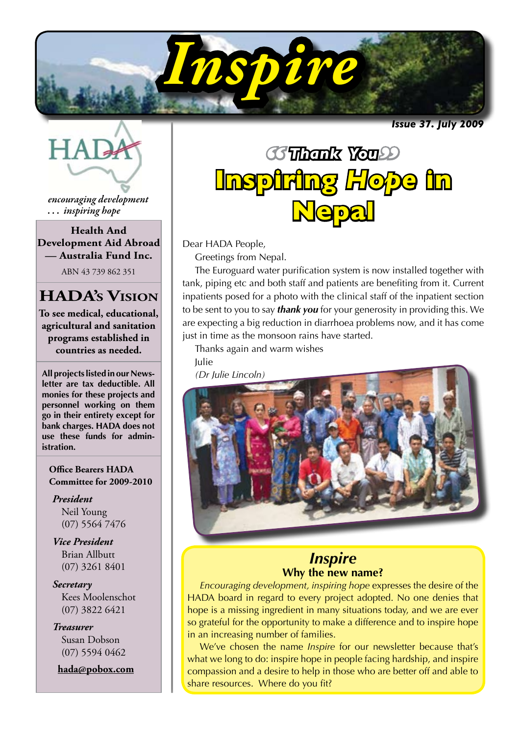

*Issue 37. July 2009* 



*encouraging development . . . inspiring hope*

**Health And Development Aid Abroad — Australia Fund Inc.**

ABN 43 739 862 351

## **HADA's Vision**

**To see medical, educational, agricultural and sanitation programs established in countries as needed.**

**All projects listed in our Newsletter are tax deductible. All monies for these projects and personnel working on them go in their entirety except for bank charges. HADA does not use these funds for administration.**

**Office Bearers HADA Committee for 2009-2010**

*President* Neil Young (07) 5564 7476

*Vice President* Brian Allbutt (07) 3261 8401

*Secretary* Kees Moolenschot (07) 3822 6421

*Treasurer* Susan Dobson (07) 5594 0462

**hada@pobox.com**

# *" " Thank You* **The Hotel World World World World World World World World World World World World World World World World World Inspiring** *Hope* **in Nepal**

Dear HADA People,

Greetings from Nepal.

The Euroguard water purification system is now installed together with tank, piping etc and both staff and patients are benefiting from it. Current inpatients posed for a photo with the clinical staff of the inpatient section to be sent to you to say *thank you* for your generosity in providing this. We are expecting a big reduction in diarrhoea problems now, and it has come just in time as the monsoon rains have started.

Thanks again and warm wishes

Julie



### *Inspire* **Why the new name?**

*Encouraging development, inspiring hope* expresses the desire of the HADA board in regard to every project adopted. No one denies that hope is a missing ingredient in many situations today, and we are ever so grateful for the opportunity to make a difference and to inspire hope in an increasing number of families.

We've chosen the name *Inspire* for our newsletter because that's what we long to do: inspire hope in people facing hardship, and inspire compassion and a desire to help in those who are better off and able to share resources. Where do you fit?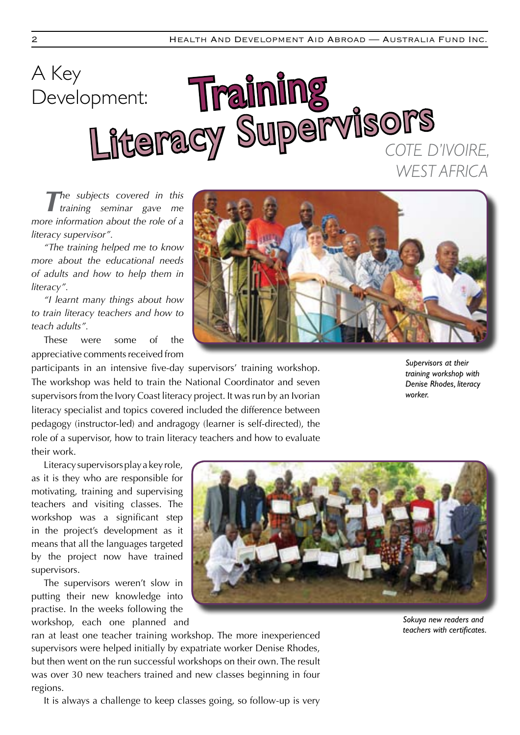# Training Literacy Supervisors A Key Development: *COte d'Ivoire, West Africa*

*The subjects covered in this training seminar gave me more information about the role of a literacy supervisor".*

*"The training helped me to know more about the educational needs of adults and how to help them in literacy".*

*"I learnt many things about how to train literacy teachers and how to teach adults".*

These were some of the appreciative comments received from

Literacy supervisors play a key role, as it is they who are responsible for motivating, training and supervising teachers and visiting classes. The workshop was a significant step in the project's development as it means that all the languages targeted by the project now have trained

The supervisors weren't slow in putting their new knowledge into practise. In the weeks following the workshop, each one planned and

supervisors.

regions.

participants in an intensive five-day supervisors' training workshop. The workshop was held to train the National Coordinator and seven supervisors from the Ivory Coast literacy project. It was run by an Ivorian literacy specialist and topics covered included the difference between pedagogy (instructor-led) and andragogy (learner is self-directed), the role of a supervisor, how to train literacy teachers and how to evaluate their work.

*Supervisors at their training workshop with Denise Rhodes, literacy worker.*

ran at least one teacher training workshop. The more inexperienced supervisors were helped initially by expatriate worker Denise Rhodes, but then went on the run successful workshops on their own. The result was over 30 new teachers trained and new classes beginning in four

It is always a challenge to keep classes going, so follow-up is very



*Sokuya new readers and teachers with certificates.*

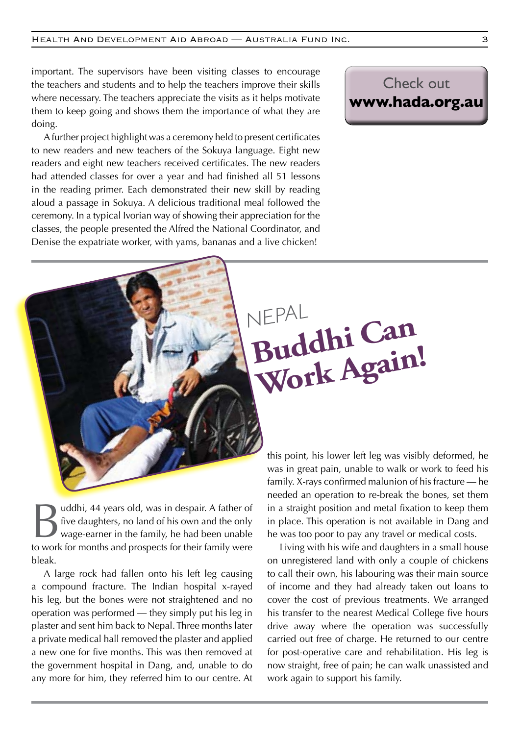important. The supervisors have been visiting classes to encourage the teachers and students and to help the teachers improve their skills where necessary. The teachers appreciate the visits as it helps motivate them to keep going and shows them the importance of what they are doing.

A further project highlight was a ceremony held to present certificates to new readers and new teachers of the Sokuya language. Eight new readers and eight new teachers received certificates. The new readers had attended classes for over a year and had finished all 51 lessons in the reading primer. Each demonstrated their new skill by reading aloud a passage in Sokuya. A delicious traditional meal followed the ceremony. In a typical Ivorian way of showing their appreciation for the classes, the people presented the Alfred the National Coordinator, and Denise the expatriate worker, with yams, bananas and a live chicken!

# Check out **www.hada.org.au**

*NEPAL* **Buddhi Can Work Again!**

uddhi, 44 years old, was in despair. A father of five daughters, no land of his own and the only wage-earner in the family, he had been unable to work for months and prospects for their family were bleak.

A large rock had fallen onto his left leg causing a compound fracture. The Indian hospital x-rayed his leg, but the bones were not straightened and no operation was performed — they simply put his leg in plaster and sent him back to Nepal. Three months later a private medical hall removed the plaster and applied a new one for five months. This was then removed at the government hospital in Dang, and, unable to do any more for him, they referred him to our centre. At

this point, his lower left leg was visibly deformed, he was in great pain, unable to walk or work to feed his family. X-rays confirmed malunion of his fracture — he needed an operation to re-break the bones, set them in a straight position and metal fixation to keep them in place. This operation is not available in Dang and he was too poor to pay any travel or medical costs.

Living with his wife and daughters in a small house on unregistered land with only a couple of chickens to call their own, his labouring was their main source of income and they had already taken out loans to cover the cost of previous treatments. We arranged his transfer to the nearest Medical College five hours drive away where the operation was successfully carried out free of charge. He returned to our centre for post-operative care and rehabilitation. His leg is now straight, free of pain; he can walk unassisted and work again to support his family.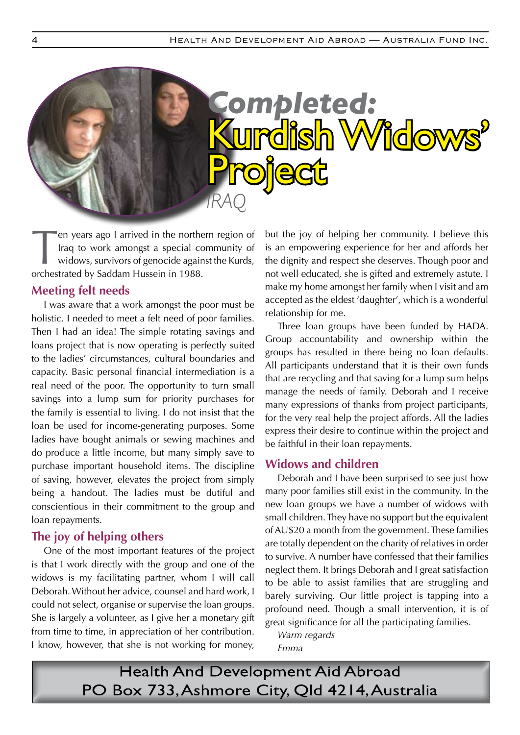

en years ago I arrived in the northern region of Iraq to work amongst a special community of widows, survivors of genocide against the Kurds, orchestrated by Saddam Hussein in 1988.

#### **Meeting felt needs**

I was aware that a work amongst the poor must be holistic. I needed to meet a felt need of poor families. Then I had an idea! The simple rotating savings and loans project that is now operating is perfectly suited to the ladies' circumstances, cultural boundaries and capacity. Basic personal financial intermediation is a real need of the poor. The opportunity to turn small savings into a lump sum for priority purchases for the family is essential to living. I do not insist that the loan be used for income-generating purposes. Some ladies have bought animals or sewing machines and do produce a little income, but many simply save to purchase important household items. The discipline of saving, however, elevates the project from simply being a handout. The ladies must be dutiful and conscientious in their commitment to the group and loan repayments.

#### **The joy of helping others**

One of the most important features of the project is that I work directly with the group and one of the widows is my facilitating partner, whom I will call Deborah. Without her advice, counsel and hard work, I could not select, organise or supervise the loan groups. She is largely a volunteer, as I give her a monetary gift from time to time, in appreciation of her contribution. I know, however, that she is not working for money,

but the joy of helping her community. I believe this is an empowering experience for her and affords her the dignity and respect she deserves. Though poor and not well educated, she is gifted and extremely astute. I make my home amongst her family when I visit and am accepted as the eldest 'daughter', which is a wonderful relationship for me.

Three loan groups have been funded by HADA. Group accountability and ownership within the groups has resulted in there being no loan defaults. All participants understand that it is their own funds that are recycling and that saving for a lump sum helps manage the needs of family. Deborah and I receive many expressions of thanks from project participants, for the very real help the project affords. All the ladies express their desire to continue within the project and be faithful in their loan repayments.

#### **Widows and children**

Deborah and I have been surprised to see just how many poor families still exist in the community. In the new loan groups we have a number of widows with small children. They have no support but the equivalent of AU\$20 a month from the government. These families are totally dependent on the charity of relatives in order to survive. A number have confessed that their families neglect them. It brings Deborah and I great satisfaction to be able to assist families that are struggling and barely surviving. Our little project is tapping into a profound need. Though a small intervention, it is of great significance for all the participating families.

*Warm regards Emma*

**Health And Development Aid Abroad** PO Box 733, Ashmore City, Qld 4214, Australia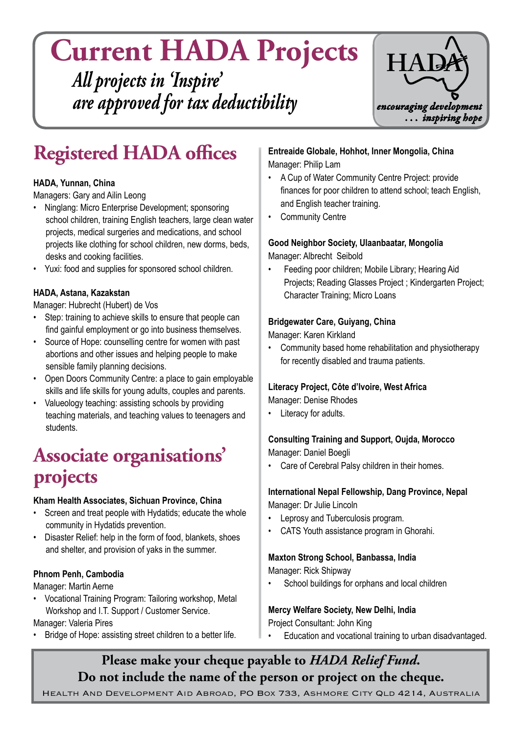**Current HADA Projects** *All projects in 'Inspire' are approved for tax deductibility*



# **Registered HADA offices**

#### **HADA, Yunnan, China**

Managers: Gary and Ailin Leong

- Ninglang: Micro Enterprise Development; sponsoring school children, training English teachers, large clean water projects, medical surgeries and medications, and school projects like clothing for school children, new dorms, beds, desks and cooking facilities.
- Yuxi: food and supplies for sponsored school children.

#### **HADA, Astana, Kazakstan**

Manager: Hubrecht (Hubert) de Vos

- Step: training to achieve skills to ensure that people can find gainful employment or go into business themselves.
- Source of Hope: counselling centre for women with past abortions and other issues and helping people to make sensible family planning decisions.
- Open Doors Community Centre: a place to gain employable skills and life skills for young adults, couples and parents.
- Valueology teaching: assisting schools by providing teaching materials, and teaching values to teenagers and students.

# **Associate organisations' projects**

#### **Kham Health Associates, Sichuan Province, China**

- Screen and treat people with Hydatids; educate the whole community in Hydatids prevention.
- Disaster Relief: help in the form of food, blankets, shoes and shelter, and provision of yaks in the summer.

#### **Phnom Penh, Cambodia**

Manager: Martin Aerne 

• Vocational Training Program: Tailoring workshop, Metal Workshop and I.T. Support / Customer Service.

Manager: Valeria Pires

Bridge of Hope: assisting street children to a better life.

**Entreaide Globale, Hohhot, Inner Mongolia, China** Manager: Philip Lam

- • A Cup of Water Community Centre Project: provide finances for poor children to attend school; teach English, and English teacher training.
- • Community Centre

## **Good Neighbor Society, Ulaanbaatar, Mongolia**

Manager: Albrecht Seibold

Feeding poor children; Mobile Library; Hearing Aid Projects; Reading Glasses Project ; Kindergarten Project; Character Training; Micro Loans

#### **Bridgewater Care, Guiyang, China**

Manager: Karen Kirkland

• Community based home rehabilitation and physiotherapy for recently disabled and trauma patients.

## **Literacy Project, Côte d'lvoire, West Africa**

Manager: Denise Rhodes

• Literacy for adults.

#### **Consulting Training and Support, Oujda, Morocco** Manager: Daniel Boegli

Care of Cerebral Palsy children in their homes.

#### **International Nepal Fellowship, Dang Province, Nepal** Manager: Dr Julie Lincoln

- Leprosy and Tuberculosis program.
- CATS Youth assistance program in Ghorahi.

#### **Maxton Strong School, Banbassa, India**

Manager: Rick Shipway

School buildings for orphans and local children

### **Mercy Welfare Society, New Delhi, India**

Project Consultant: John King

Education and vocational training to urban disadvantaged.

## **Please make your cheque payable to** *HADA Relief Fund***. Do not include the name of the person or project on the cheque.**

Health And Development Aid Abroad, PO Box 733, Ashmore City Qld 4214, Australia